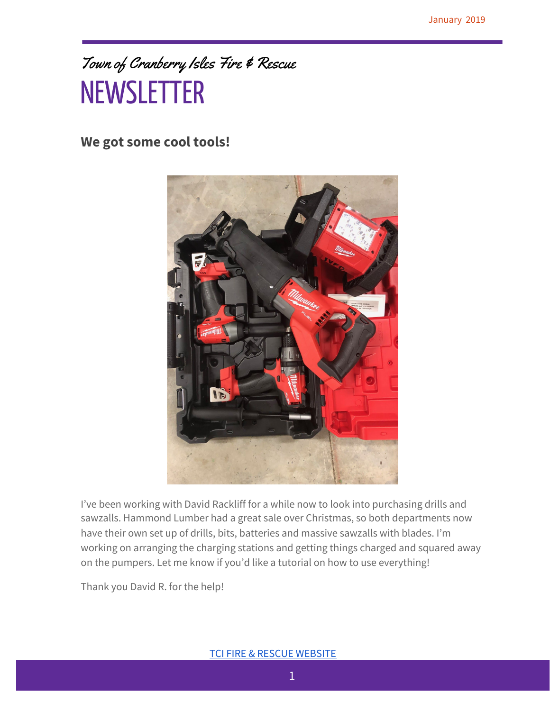### Town of Cranberry Isles Fire & Rescue **NEWSLETTER**

#### **We got some cool tools!**



I've been working with David Rackliff for a while now to look into purchasing drills and sawzalls. Hammond Lumber had a great sale over Christmas, so both departments now have their own set up of drills, bits, batteries and massive sawzalls with blades. I'm working on arranging the charging stations and getting things charged and squared away on the pumpers. Let me know if you'd like a tutorial on how to use everything!

Thank you David R. for the help!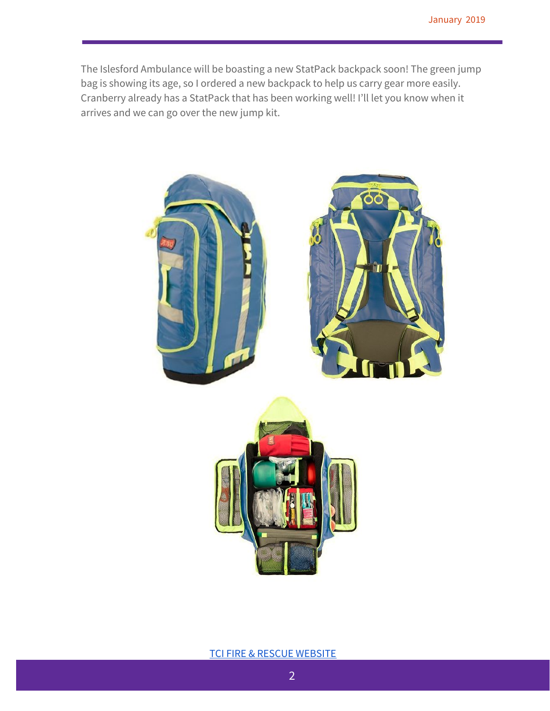The Islesford Ambulance will be boasting a new StatPack backpack soon! The green jump bag is showing its age, so I ordered a new backpack to help us carry gear more easily. Cranberry already has a StatPack that has been working well! I'll let you know when it arrives and we can go over the new jump kit.



TCI FIRE & RESCUE [WEBSITE](https://sites.google.com/tcipublicsafety.org/publicsafety/home?authuser=1)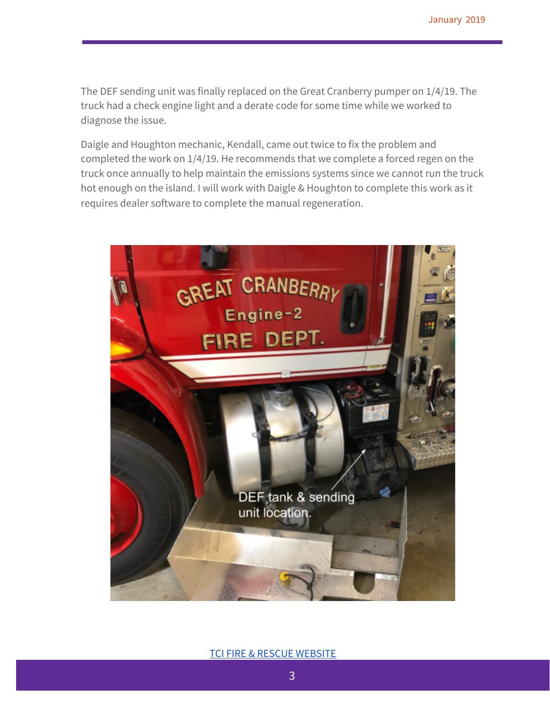The DEF sending unit was finally replaced on the Great Cranberry pumper on 1/4/19. The truck had a check engine light and a derate code for some time while we worked to diagnose the issue.

Daigle and Houghton mechanic, Kendall, came out twice to fix the problem and completed the work on 1/4/19. He recommends that we complete a forced regen on the truck once annually to help maintain the emissions systems since we cannot run the truck hot enough on the island. I will work with Daigle & Houghton to complete this work as it requires dealer software to complete the manual regeneration.



**TCI FIRE & RESCUE [WEBSITE](https://sites.google.com/tcipublicsafety.org/publicsafety/home?authuser=1)**